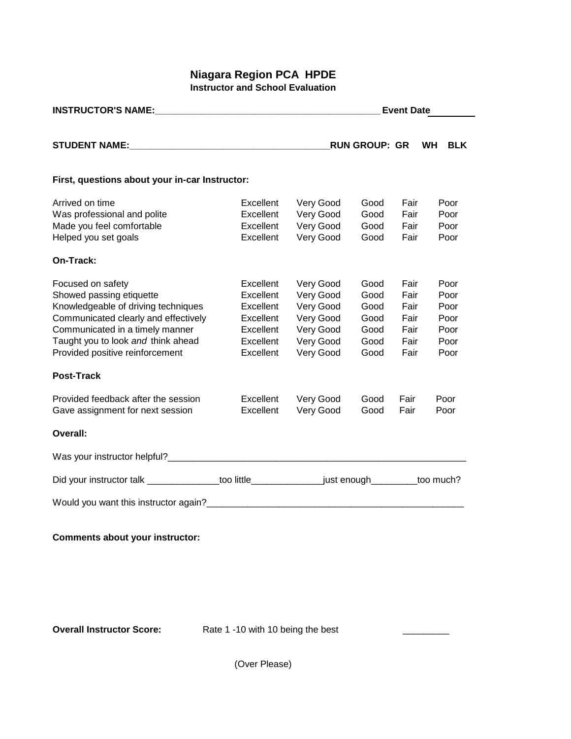## **Niagara Region PCA HPDE Instructor and School Evaluation**

| <b>INSTRUCTOR'S NAME:</b> NAME:                                                                |           | <b>Event Date</b> |                      |      |           |            |  |  |
|------------------------------------------------------------------------------------------------|-----------|-------------------|----------------------|------|-----------|------------|--|--|
|                                                                                                |           |                   | <b>RUN GROUP: GR</b> |      | <b>WH</b> | <b>BLK</b> |  |  |
|                                                                                                |           |                   |                      |      |           |            |  |  |
| First, questions about your in-car Instructor:                                                 |           |                   |                      |      |           |            |  |  |
| Arrived on time                                                                                | Excellent | Very Good         | Good                 | Fair |           | Poor       |  |  |
| Was professional and polite                                                                    | Excellent | Very Good         | Good                 | Fair |           | Poor       |  |  |
| Made you feel comfortable                                                                      | Excellent | Very Good         | Good                 | Fair |           | Poor       |  |  |
| Helped you set goals                                                                           | Excellent | Very Good         | Good                 | Fair |           | Poor       |  |  |
| On-Track:                                                                                      |           |                   |                      |      |           |            |  |  |
| Focused on safety                                                                              | Excellent | Very Good         | Good                 | Fair |           | Poor       |  |  |
| Showed passing etiquette                                                                       | Excellent | Very Good         | Good                 | Fair |           | Poor       |  |  |
| Knowledgeable of driving techniques                                                            | Excellent | Very Good         | Good                 | Fair |           | Poor       |  |  |
| Communicated clearly and effectively                                                           | Excellent | Very Good         | Good                 | Fair |           | Poor       |  |  |
| Communicated in a timely manner                                                                | Excellent | Very Good         | Good                 | Fair |           | Poor       |  |  |
| Taught you to look and think ahead                                                             | Excellent | Very Good         | Good                 | Fair |           | Poor       |  |  |
| Provided positive reinforcement                                                                | Excellent | Very Good         | Good                 | Fair |           | Poor       |  |  |
| <b>Post-Track</b>                                                                              |           |                   |                      |      |           |            |  |  |
| Provided feedback after the session                                                            | Excellent | Very Good         | Good                 | Fair |           | Poor       |  |  |
| Gave assignment for next session                                                               | Excellent | Very Good         | Good                 | Fair |           | Poor       |  |  |
| <b>Overall:</b>                                                                                |           |                   |                      |      |           |            |  |  |
|                                                                                                |           |                   |                      |      |           |            |  |  |
| Did your instructor talk ______________too little_________________just enough________too much? |           |                   |                      |      |           |            |  |  |
|                                                                                                |           |                   |                      |      |           |            |  |  |
|                                                                                                |           |                   |                      |      |           |            |  |  |

## **Comments about your instructor:**

**Overall Instructor Score:** Rate 1 -10 with 10 being the best \_\_\_\_\_\_\_\_\_\_\_\_\_\_\_\_\_\_\_

(Over Please)